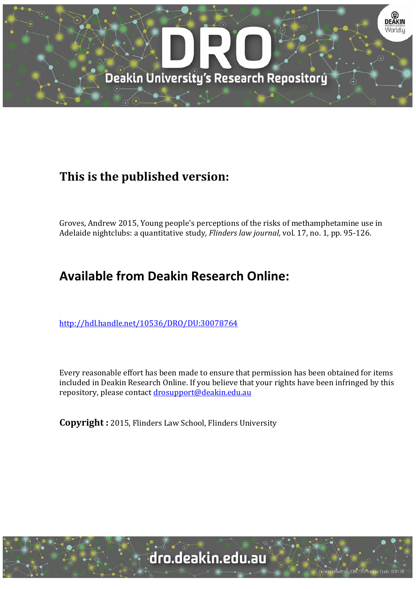

# **This is the published version:**

Groves, Andrew 2015, Young people's perceptions of the risks of methamphetamine use in Adelaide nightclubs: a quantitative study, *Flinders law journal*, vol. 17, no. 1, pp. 95-126.

# **Available from Deakin Research Online:**

http://hdl.handle.net/10536/DRO/DU:30078764

Every reasonable effort has been made to ensure that permission has been obtained for items included in Deakin Research Online. If you believe that your rights have been infringed by this repository, please contact drosupport@deakin.edu.au

**Copyright** : 2015, Flinders Law School, Flinders University

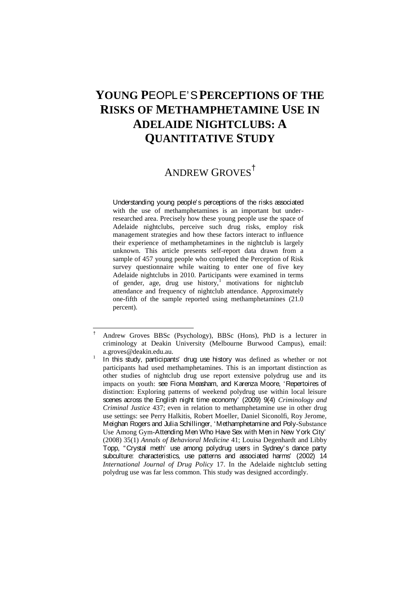## **YOUNG P**EOPLE'S **PERCEPTIONS OF THE RISKS OF METHAMPHETAMINE USE IN ADELAIDE NIGHTCLUBS: A QUANTITATIVE STUDY**

## ANDREW GROVES †

Understanding young people's perceptions of the risks associated with the use of methamphetamines is an important but underresearched area. Precisely how these young people use the space of Adelaide nightclubs, perceive such drug risks, employ risk management strategies and how these factors interact to influence their experience of methamphetamines in the nightclub is largely unknown. This article presents self-report data drawn from a sample of 457 young people who completed the Perception of Risk survey questionnaire while waiting to enter one of five key Adelaide nightclubs in 2010. Participants were examined in terms of gender, age, drug use history,<sup>1</sup> motivations for nightclub attendance and frequency of nightclub attendance. Approximately one-fifth of the sample reported using methamphetamines (21.0 percent).

<sup>†</sup> Andrew Groves BBSc (Psychology), BBSc (Hons), PhD is a lecturer in criminology at Deakin University (Melbourne Burwood Campus), email: a.groves@deakin.edu.au. <sup>1</sup>

In this study, participants' drug use history was defined as whether or not participants had used methamphetamines. This is an important distinction as other studies of nightclub drug use report extensive polydrug use and its impacts on youth: see Fiona Measham, and Karenza Moore, 'Repertoires of distinction: Exploring patterns of weekend polydrug use within local leisure scenes across the English night time economy' (2009) 9(4) *Criminology and Criminal Justice* 437; even in relation to methamphetamine use in other drug use settings: see Perry Halkitis, Robert Moeller, Daniel Siconolfi, Roy Jerome, Meighan Rogers and Julia Schillinger, 'Methamphetamine and Poly-Substance Use Among Gym-Attending Men Who Have Sex with Men in New York City' (2008) 35(1) *Annals of Behavioral Medicine* 41; Louisa Degenhardt and Libby Topp, "Crystal meth' use among polydrug users in Sydney's dance party subculture: characteristics, use patterns and associated harms' (2002) 14 *International Journal of Drug Policy* 17. In the Adelaide nightclub setting polydrug use was far less common. This study was designed accordingly.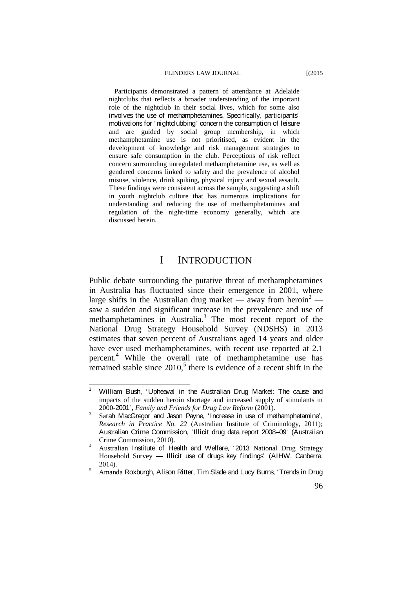Participants demonstrated a pattern of attendance at Adelaide nightclubs that reflects a broader understanding of the important role of the nightclub in their social lives, which for some also involves the use of methamphetamines. Specifically, participants' motivations for 'nightclubbing' concern the consumption of leisure and are guided by social group membership, in which methamphetamine use is not prioritised, as evident in the development of knowledge and risk management strategies to ensure safe consumption in the club. Perceptions of risk reflect concern surrounding unregulated methamphetamine use, as well as gendered concerns linked to safety and the prevalence of alcohol misuse, violence, drink spiking, physical injury and sexual assault. These findings were consistent across the sample, suggesting a shift in youth nightclub culture that has numerous implications for understanding and reducing the use of methamphetamines and regulation of the night-time economy generally, which are discussed herein.

### I INTRODUCTION

Public debate surrounding the putative threat of methamphetamines in Australia has fluctuated since their emergence in 2001, where large shifts in the Australian drug market — away from heroin<sup>2</sup> saw a sudden and significant increase in the prevalence and use of methamphetamines in Australia.<sup>3</sup> The most recent report of the National Drug Strategy Household Survey (NDSHS) in 2013 estimates that seven percent of Australians aged 14 years and older have ever used methamphetamines, with recent use reported at 2.1 percent.<sup>4</sup> While the overall rate of methamphetamine use has remained stable since  $2010$ ,<sup>5</sup> there is evidence of a recent shift in the

 $\frac{1}{2}$  William Bush, 'Upheaval in the Australian Drug Market: The cause and impacts of the sudden heroin shortage and increased supply of stimulants in 2000-2001', *Family and Friends for Drug Law Reform* (2001).

Sarah MacGregor and Jason Payne, 'Increase in use of methamphetamine', *Research in Practice No. 22* (Australian Institute of Criminology, 2011); Australian Crime Commission, 'Illicit drug data report 2008–09' (Australian Crime Commission, 2010).

Australian Institute of Health and Welfare, '2013 National Drug Strategy Household Survey — Illicit use of drugs key findings' (AIHW, Canberra,  $2014$ 

Amanda Roxburgh, Alison Ritter, Tim Slade and Lucy Burns, 'Trends in Drug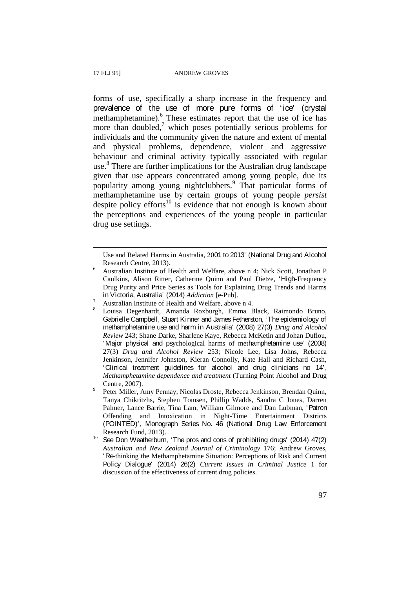$\overline{a}$ 

forms of use, specifically a sharp increase in the frequency and prevalence of the use of more pure forms of 'ice' (crystal methamphetamine).<sup>6</sup> These estimates report that the use of ice has more than doubled, $^7$  which poses potentially serious problems for individuals and the community given the nature and extent of mental and physical problems, dependence, violent and aggressive behaviour and criminal activity typically associated with regular use. 8 There are further implications for the Australian drug landscape given that use appears concentrated among young people, due its popularity among young nightclubbers.<sup>9</sup> That particular forms of methamphetamine use by certain groups of young people *persist* despite policy efforts<sup>10</sup> is evidence that not enough is known about the perceptions and experiences of the young people in particular drug use settings.

Use and Related Harms in Australia, 2001 to 2013' (National Drug and Alcohol Research Centre, 2013).

Australian Institute of Health and Welfare, above n 4; Nick Scott, Jonathan P Caulkins, Alison Ritter, Catherine Quinn and Paul Dietze, 'High-Frequency Drug Purity and Price Series as Tools for Explaining Drug Trends and Harms in Victoria, Australia' (2014) *Addiction* [e-Pub]. <sup>7</sup>

Australian Institute of Health and Welfare, above n 4. <sup>8</sup>

Louisa Degenhardt, Amanda Roxburgh, Emma Black, Raimondo Bruno, Gabrielle Campbell, Stuart Kinner and James Fetherston, 'The epidemiology of methamphetamine use and harm in Australia' (2008) 27(3) *Drug and Alcohol Review* 243; Shane Darke, Sharlene Kaye, Rebecca McKetin and Johan Duflou, 'Major physical and psychological harms of methamphetamine use' (2008) 27(3) *Drug and Alcohol Review* 253; Nicole Lee, Lisa Johns, Rebecca Jenkinson, Jennifer Johnston, Kieran Connolly, Kate Hall and Richard Cash, 'Clinical treatment guidelines for alcohol and drug clinicians no 14', *Methamphetamine dependence and treatment* (Turning Point Alcohol and Drug Centre, 2007).

Peter Miller, Amy Pennay, Nicolas Droste, Rebecca Jenkinson, Brendan Quinn, Tanya Chikritzhs, Stephen Tomsen, Phillip Wadds, Sandra C Jones, Darren Palmer, Lance Barrie, Tina Lam, William Gilmore and Dan Lubman, 'Patron Offending and Intoxication in Night-Time Entertainment Districts (POINTED)', Monograph Series No. 46 (National Drug Law Enforcement Research Fund, 2013).<br>See Don Weatherburn, 'The pros and cons of prohibiting drugs' (2014) 47(2)

*Australian and New Zealand Journal of Criminology* 176; Andrew Groves, 'Re-thinking the Methamphetamine Situation: Perceptions of Risk and Current Policy Dialogue' (2014) 26(2) *Current Issues in Criminal Justice* 1 for discussion of the effectiveness of current drug policies.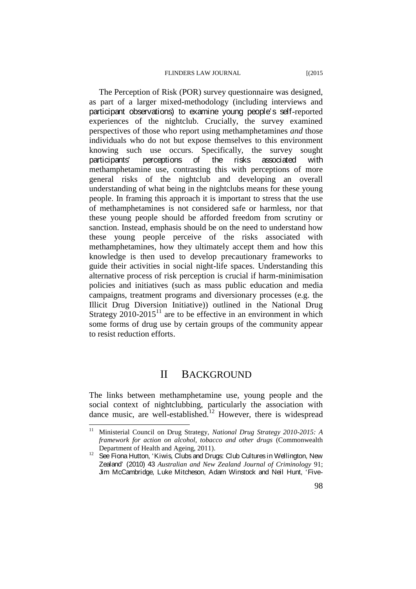The Perception of Risk (POR) survey questionnaire was designed, as part of a larger mixed-methodology (including interviews and participant observations) to examine young people's self-reported experiences of the nightclub. Crucially, the survey examined perspectives of those who report using methamphetamines *and* those individuals who do not but expose themselves to this environment knowing such use occurs. Specifically, the survey sought participants' perceptions of the risks associated with methamphetamine use, contrasting this with perceptions of more general risks of the nightclub and developing an overall understanding of what being in the nightclubs means for these young people. In framing this approach it is important to stress that the use of methamphetamines is not considered safe or harmless, nor that these young people should be afforded freedom from scrutiny or sanction. Instead, emphasis should be on the need to understand how these young people perceive of the risks associated with methamphetamines, how they ultimately accept them and how this knowledge is then used to develop precautionary frameworks to guide their activities in social night-life spaces. Understanding this alternative process of risk perception is crucial if harm-minimisation policies and initiatives (such as mass public education and media campaigns, treatment programs and diversionary processes (e.g. the Illicit Drug Diversion Initiative)) outlined in the National Drug Strategy  $2010$ -2015<sup>11</sup> are to be effective in an environment in which some forms of drug use by certain groups of the community appear to resist reduction efforts.

### II BACKGROUND

The links between methamphetamine use, young people and the social context of nightclubbing, particularly the association with dance music, are well-established.<sup>12</sup> However, there is widespread

 $11$ 11 Ministerial Council on Drug Strategy, *National Drug Strategy 2010-2015: A framework for action on alcohol, tobacco and other drugs* (Commonwealth

Department of Health and Ageing, 2011).<br><sup>12</sup> See Fiona Hutton, 'Kiwis, Clubs and Drugs: Club Cultures in Wellington, New Zealand' (2010) 43 *Australian and New Zealand Journal of Criminology* 91; Jim McCambridge, Luke Mitcheson, Adam Winstock and Neil Hunt, 'Five-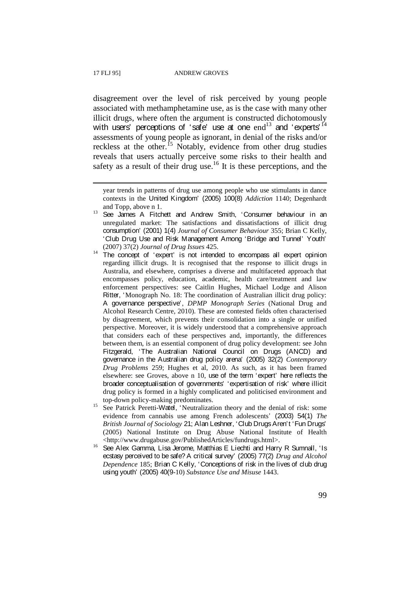$\overline{a}$ 

disagreement over the level of risk perceived by young people associated with methamphetamine use, as is the case with many other illicit drugs, where often the argument is constructed dichotomously with users' perceptions of 'safe' use at one  $end<sup>13</sup>$  and 'experts'  $<sup>14</sup>$ </sup> assessments of young people as ignorant, in denial of the risks and/or reckless at the other.<sup>15</sup> Notably, evidence from other drug studies reveals that users actually perceive some risks to their health and safety as a result of their drug use.<sup>16</sup> It is these perceptions, and the

- (2007) 37(2) *Journal of Drug Issues* 425. <sup>14</sup>The concept of 'expert' is not intended to encompass all expert opinion regarding illicit drugs. It is recognised that the response to illicit drugs in Australia, and elsewhere, comprises a diverse and multifaceted approach that encompasses policy, education, academic, health care/treatment and law enforcement perspectives: see Caitlin Hughes, Michael Lodge and Alison Ritter, 'Monograph No. 18: The coordination of Australian illicit drug policy: A governance perspective', *DPMP Monograph Series* (National Drug and Alcohol Research Centre, 2010). These are contested fields often characterised by disagreement, which prevents their consolidation into a single or unified perspective. Moreover, it is widely understood that a comprehensive approach that considers each of these perspectives and, importantly, the differences between them, is an essential component of drug policy development: see John Fitzgerald, 'The Australian National Council on Drugs (ANCD) and governance in the Australian drug policy arena' (2005) 32(2) *Contemporary Drug Problems* 259; Hughes et al, 2010. As such, as it has been framed elsewhere: see Groves, above n 10, use of the term 'expert' here reflects the broader conceptualisation of governments' 'expertisation of risk' where illicit drug policy is formed in a highly complicated and politicised environment and
- top-down policy-making predominates.<br><sup>15</sup> See Patrick Peretti-Watel, 'Neutralization theory and the denial of risk: some evidence from cannabis use among French adolescents' (2003) 54(1) *The British Journal of Sociology* 21; Alan Leshner, 'Club Drugs Aren't 'Fun Drugs' (2005) National Institute on Drug Abuse National Institute of Health
- <http://www.drugabuse.gov/PublishedArticles/fundrugs.html>.<br><sup>16</sup> See Alex Gamma, Lisa Jerome, Matthias E Liechti and Harry R Sumnall, 'Is ecstasy perceived to be safe? A critical survey' (2005) 77(2) *Drug and Alcohol Dependence* 185; Brian C Kelly, 'Conceptions of risk in the lives of club drug using youth' (2005) 40(9-10) *Substance Use and Misuse* 1443.

year trends in patterns of drug use among people who use stimulants in dance contexts in the United Kingdom' (2005) 100(8) *Addiction* 1140; Degenhardt

and Topp, above n 1.<br><sup>13</sup> See James A Fitchett and Andrew Smith, 'Consumer behaviour in an unregulated market: The satisfactions and dissatisfactions of illicit drug consumption' (2001) 1(4) *Journal of Consumer Behaviour* 355; Brian C Kelly, 'Club Drug Use and Risk Management Among 'Bridge and Tunnel' Youth'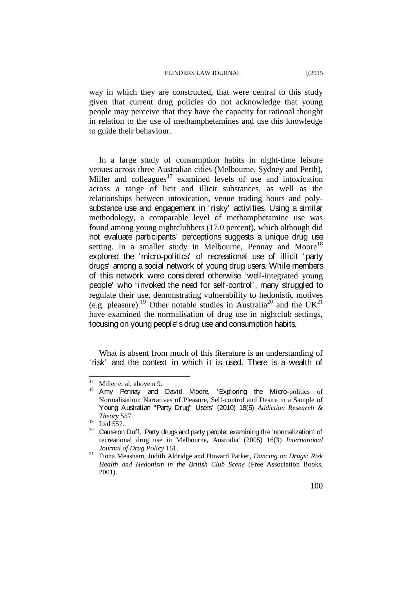way in which they are constructed, that were central to this study given that current drug policies do not acknowledge that young people may perceive that they have the capacity for rational thought in relation to the use of methamphetamines and use this knowledge to guide their behaviour.

In a large study of consumption habits in night-time leisure venues across three Australian cities (Melbourne, Sydney and Perth), Miller and colleagues<sup>17</sup> examined levels of use and intoxication across a range of licit and illicit substances, as well as the relationships between intoxication, venue trading hours and polysubstance use and engagement in 'risky' activities. Using a similar methodology, a comparable level of methamphetamine use was found among young nightclubbers (17.0 percent), which although did not evaluate participants' perceptions suggests a unique drug use setting. In a smaller study in Melbourne, Pennay and Moore<sup>18</sup> explored the 'micro-politics' of recreational use of illicit 'party drugs' among a social network of young drug users. While members of this network were considered otherwise 'well-integrated young people' who 'invoked the need for self-control', many struggled to regulate their use, demonstrating vulnerability to hedonistic motives (e.g. pleasure).<sup>19</sup> Other notable studies in Australia<sup>20</sup> and the UK<sup>21</sup> have examined the normalisation of drug use in nightclub settings, focusing on young people's drug use and consumption habits.

What is absent from much of this literature is an understanding of 'risk' and the context in which it is used. There is a wealth of

 $17$ 

<sup>&</sup>lt;sup>17</sup> Miller et al, above n 9.<br><sup>18</sup> Amy Pennay and David Moore, 'Exploring the Micro-politics of Normalisation: Narratives of Pleasure, Self-control and Desire in a Sample of Young Australian "Party Drug" Users' (2010) 18(5) *Addiction Research & Theory* 557.<br><sup>19</sup> Ibid 557.

 $20$  Cameron Duff, 'Party drugs and party people: examining the 'normalization' of recreational drug use in Melbourne, Australia' (2005) 16(3) *International Journal of Drug Policy* 161. 21 Fiona Measham, Judith Aldridge and Howard Parker, *Dancing on Drugs: Risk*

*Health and Hedonism in the British Club Scene* (Free Association Books, 2001).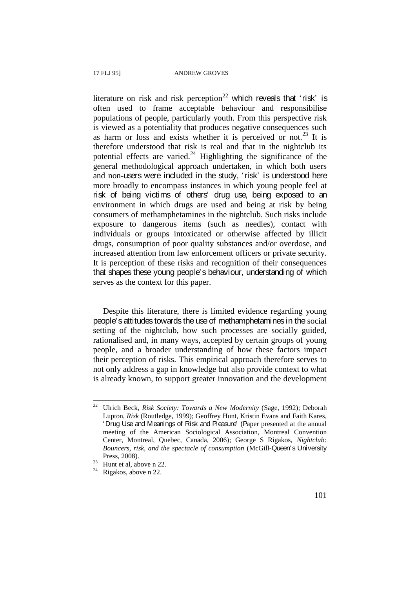literature on risk and risk perception<sup>22</sup> which reveals that 'risk' is often used to frame acceptable behaviour and responsibilise populations of people, particularly youth. From this perspective risk is viewed as a potentiality that produces negative consequences such as harm or loss and exists whether it is perceived or not.<sup>23</sup> It is therefore understood that risk is real and that in the nightclub its potential effects are varied. $^{24}$  Highlighting the significance of the general methodological approach undertaken, in which both users and non-users were included in the study, 'risk' is understood here more broadly to encompass instances in which young people feel at risk of being victims of others' drug use, being exposed to an environment in which drugs are used and being at risk by being consumers of methamphetamines in the nightclub. Such risks include exposure to dangerous items (such as needles), contact with individuals or groups intoxicated or otherwise affected by illicit drugs, consumption of poor quality substances and/or overdose, and increased attention from law enforcement officers or private security. It is perception of these risks and recognition of their consequences that shapes these young people's behaviour, understanding of which serves as the context for this paper.

Despite this literature, there is limited evidence regarding young people's attitudes towards the use of methamphetamines in the social setting of the nightclub, how such processes are socially guided, rationalised and, in many ways, accepted by certain groups of young people, and a broader understanding of how these factors impact their perception of risks. This empirical approach therefore serves to not only address a gap in knowledge but also provide context to what is already known, to support greater innovation and the development

<sup>22</sup> Ulrich Beck, *Risk Society: Towards a New Modernity* (Sage, 1992); Deborah Lupton, *Risk* (Routledge, 1999); Geoffrey Hunt, Kristin Evans and Faith Kares, 'Drug Use and Meanings of Risk and Pleasure' (Paper presented at the annual meeting of the American Sociological Association, Montreal Convention Center, Montreal, Quebec, Canada, 2006); George S Rigakos, *Nightclub: Bouncers, risk, and the spectacle of consumption* (McGill-Queen's University Press, 2008).<br><sup>23</sup> Hunt et al, above n 22.<br><sup>24</sup> Rigakos, above n 22.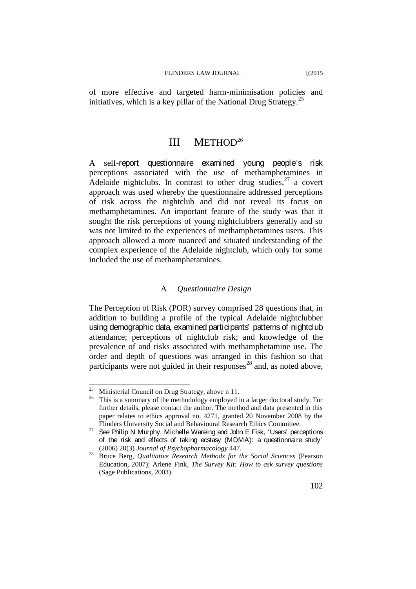of more effective and targeted harm-minimisation policies and initiatives, which is a key pillar of the National Drug Strategy.<sup>25</sup>

### III METHOD26

A self-report questionnaire examined young people's risk perceptions associated with the use of methamphetamines in Adelaide nightclubs. In contrast to other drug studies,  $27$  a covert approach was used whereby the questionnaire addressed perceptions of risk across the nightclub and did not reveal its focus on methamphetamines. An important feature of the study was that it sought the risk perceptions of young nightclubbers generally and so was not limited to the experiences of methamphetamines users. This approach allowed a more nuanced and situated understanding of the complex experience of the Adelaide nightclub, which only for some included the use of methamphetamines.

### A *Questionnaire Design*

The Perception of Risk (POR) survey comprised 28 questions that, in addition to building a profile of the typical Adelaide nightclubber using demographic data, examined participants' patterns of nightclub attendance; perceptions of nightclub risk; and knowledge of the prevalence of and risks associated with methamphetamine use. The order and depth of questions was arranged in this fashion so that participants were not guided in their responses <sup>28</sup> and, as noted above,

 $25$ 

<sup>&</sup>lt;sup>25</sup> Ministerial Council on Drug Strategy, above n 11.<br><sup>26</sup> This is a summary of the methodology employed in a larger doctoral study. For further details, please contact the author. The method and data presented in this paper relates to ethics approval no. 4271, granted 20 November 2008 by the

Flinders University Social and Behavioural Research Ethics Committee.<br><sup>27</sup> See Philip N Murphy, Michelle Wareing and John E Fisk, 'Users' perceptions of the risk and effects of taking ecstasy (MDMA): a questionnaire study'

<sup>(2006) 20(3)</sup> *Journal of Psychopharmacology* 447. 28 Bruce Berg, *Qualitative Research Methods for the Social Sciences* (Pearson Education, 2007); Arlene Fink, *The Survey Kit: How to ask survey questions* (Sage Publications, 2003).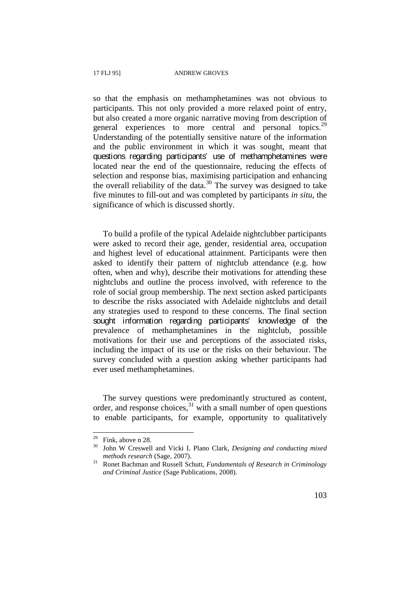so that the emphasis on methamphetamines was not obvious to participants. This not only provided a more relaxed point of entry, but also created a more organic narrative moving from description of general experiences to more central and personal topics.<sup>29</sup> Understanding of the potentially sensitive nature of the information and the public environment in which it was sought, meant that questions regarding participants' use of methamphetamines were located near the end of the questionnaire, reducing the effects of selection and response bias, maximising participation and enhancing the overall reliability of the data.<sup>30</sup> The survey was designed to take five minutes to fill-out and was completed by participants *in situ*, the significance of which is discussed shortly.

To build a profile of the typical Adelaide nightclubber participants were asked to record their age, gender, residential area, occupation and highest level of educational attainment. Participants were then asked to identify their pattern of nightclub attendance (e.g. how often, when and why), describe their motivations for attending these nightclubs and outline the process involved, with reference to the role of social group membership. The next section asked participants to describe the risks associated with Adelaide nightclubs and detail any strategies used to respond to these concerns. The final section sought information regarding participants' knowledge of the prevalence of methamphetamines in the nightclub, possible motivations for their use and perceptions of the associated risks, including the impact of its use or the risks on their behaviour. The survey concluded with a question asking whether participants had ever used methamphetamines.

The survey questions were predominantly structured as content, order, and response choices, $31$  with a small number of open questions to enable participants, for example, opportunity to qualitatively

 $29$  Fink, above n 28.

<sup>&</sup>lt;sup>30</sup> John W Creswell and Vicki L Plano Clark, *Designing and conducting mixed methods research* (Sage, 2007). 31 Ronet Bachman and Russell Schutt, *Fundamentals of Research in Criminology*

*and Criminal Justice* (Sage Publications, 2008).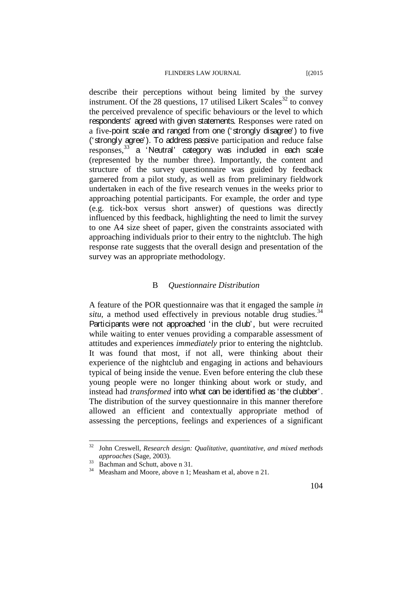describe their perceptions without being limited by the survey instrument. Of the 28 questions, 17 utilised Likert Scales 32 to convey the perceived prevalence of specific behaviours or the level to which respondents' agreed with given statements. Responses were rated on a five-point scale and ranged from one ('strongly disagree') to five ('strongly agree'). To address passive participation and reduce false responses,<sup>33</sup> a 'Neutral' category was included in each scale (represented by the number three). Importantly, the content and structure of the survey questionnaire was guided by feedback garnered from a pilot study, as well as from preliminary fieldwork undertaken in each of the five research venues in the weeks prior to approaching potential participants. For example, the order and type (e.g. tick-box versus short answer) of questions was directly influenced by this feedback, highlighting the need to limit the survey to one A4 size sheet of paper, given the constraints associated with approaching individuals prior to their entry to the nightclub. The high response rate suggests that the overall design and presentation of the survey was an appropriate methodology.

### B *Questionnaire Distribution*

A feature of the POR questionnaire was that it engaged the sample *in situ*, a method used effectively in previous notable drug studies.<sup>34</sup> Participants were not approached 'in the club', but were recruited while waiting to enter venues providing a comparable assessment of attitudes and experiences *immediately* prior to entering the nightclub. It was found that most, if not all, were thinking about their experience of the nightclub and engaging in actions and behaviours typical of being inside the venue. Even before entering the club these young people were no longer thinking about work or study, and instead had *transformed* into what can be identified as 'the clubber'. The distribution of the survey questionnaire in this manner therefore allowed an efficient and contextually appropriate method of assessing the perceptions, feelings and experiences of a significant

<sup>32</sup> John Creswell, *Research design: Qualitative, quantitative, and mixed methods approaches* (Sage, 2003).<br><sup>33</sup> Bachman and Schutt, above n 31.<br><sup>34</sup> Measham and Moore, above n 1; Measham et al, above n 21.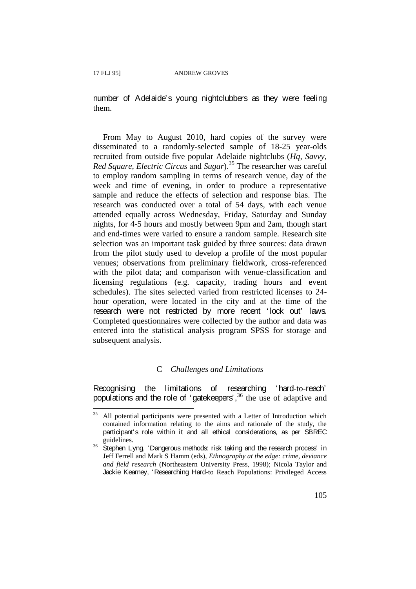$\overline{a}$ 

number of Adelaide's young nightclubbers as they were feeling them.

From May to August 2010, hard copies of the survey were disseminated to a randomly-selected sample of 18-25 year-olds recruited from outside five popular Adelaide nightclubs (*Hq, Savvy, Red Square, Electric Circus* and *Sugar*). 35 The researcher was careful to employ random sampling in terms of research venue, day of the week and time of evening, in order to produce a representative sample and reduce the effects of selection and response bias. The research was conducted over a total of 54 days, with each venue attended equally across Wednesday, Friday, Saturday and Sunday nights, for 4-5 hours and mostly between 9pm and 2am, though start and end-times were varied to ensure a random sample. Research site selection was an important task guided by three sources: data drawn from the pilot study used to develop a profile of the most popular venues; observations from preliminary fieldwork, cross-referenced with the pilot data; and comparison with venue-classification and licensing regulations (e.g. capacity, trading hours and event schedules). The sites selected varied from restricted licenses to 24 hour operation, were located in the city and at the time of the research were not restricted by more recent 'lock out' laws. Completed questionnaires were collected by the author and data was entered into the statistical analysis program SPSS for storage and subsequent analysis.

### C *Challenges and Limitations*

Recognising the limitations of researching 'hard-to-reach' populations and the role of 'gatekeepers',<sup>36</sup> the use of adaptive and

<sup>&</sup>lt;sup>35</sup> All potential participants were presented with a Letter of Introduction which contained information relating to the aims and rationale of the study, the participant's role within it and all ethical considerations, as per SBREC

 $\frac{36}{36}$  Stephen Lyng, 'Dangerous methods: risk taking and the research process' in Jeff Ferrell and Mark S Hamm (eds), *Ethnography at the edge: crime, deviance and field research* (Northeastern University Press, 1998); Nicola Taylor and Jackie Kearney, 'Researching Hard-to Reach Populations: Privileged Access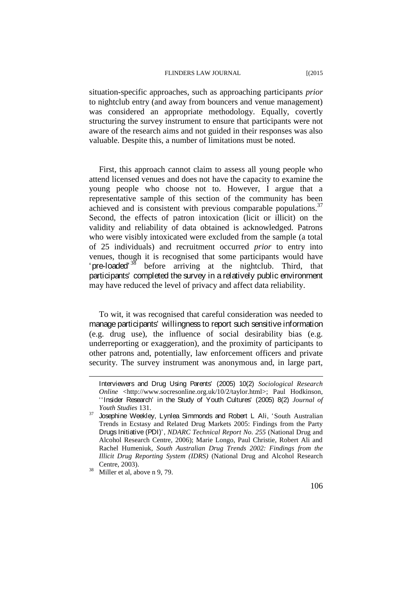situation-specific approaches, such as approaching participants *prior*  to nightclub entry (and away from bouncers and venue management) was considered an appropriate methodology. Equally, covertly structuring the survey instrument to ensure that participants were not aware of the research aims and not guided in their responses was also valuable. Despite this, a number of limitations must be noted.

First, this approach cannot claim to assess all young people who attend licensed venues and does not have the capacity to examine the young people who choose not to. However, I argue that a representative sample of this section of the community has been achieved and is consistent with previous comparable populations.<sup>37</sup> Second, the effects of patron intoxication (licit or illicit) on the validity and reliability of data obtained is acknowledged. Patrons who were visibly intoxicated were excluded from the sample (a total of 25 individuals) and recruitment occurred *prior* to entry into venues, though it is recognised that some participants would have 'pre-loaded'  $38$  before arriving at the nightclub. Third, that participants' completed the survey in a relatively public environment may have reduced the level of privacy and affect data reliability.

To wit, it was recognised that careful consideration was needed to manage participants' willingness to report such sensitive information (e.g. drug use), the influence of social desirability bias (e.g. underreporting or exaggeration), and the proximity of participants to other patrons and, potentially, law enforcement officers and private security. The survey instrument was anonymous and, in large part,

Interviewers and Drug Using Parents' (2005) 10(2) *Sociological Research Online* <http://www.socresonline.org.uk/10/2/taylor.html>; Paul Hodkinson, ''Insider Research' in the Study of Youth Cultures' (2005) 8(2) *Journal of Youth Studies* 131.<br>**Josephine Weekley, Lynlea Simmonds and Robert L Ali, 'South Australian** 

Trends in Ecstasy and Related Drug Markets 2005: Findings from the Party Drugs Initiative (PDI)', *NDARC Technical Report No. 255* (National Drug and Alcohol Research Centre, 2006); Marie Longo, Paul Christie, Robert Ali and Rachel Humeniuk, *South Australian Drug Trends 2002: Findings from the Illicit Drug Reporting System (IDRS)* (National Drug and Alcohol Research Centre, 2003). 38 Miller et al, above n 9, 79.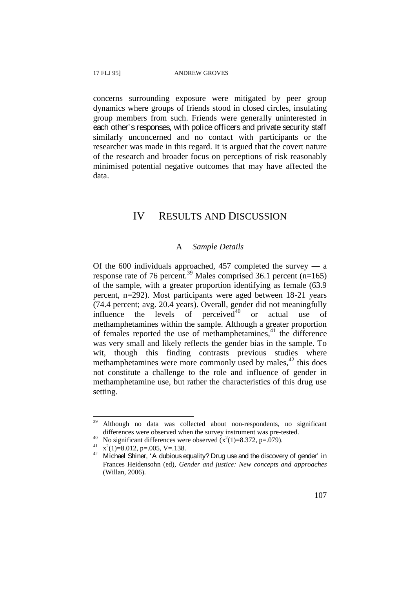concerns surrounding exposure were mitigated by peer group dynamics where groups of friends stood in closed circles, insulating group members from such. Friends were generally uninterested in each other's responses, with police officers and private security staff similarly unconcerned and no contact with participants or the researcher was made in this regard. It is argued that the covert nature of the research and broader focus on perceptions of risk reasonably minimised potential negative outcomes that may have affected the data.

### IV RESULTS AND DISCUSSION

### A *Sample Details*

Of the 600 individuals approached, 457 completed the survey  $-$  a response rate of 76 percent.<sup>39</sup> Males comprised 36.1 percent (n=165) of the sample, with a greater proportion identifying as female (63.9 percent, n=292). Most participants were aged between 18-21 years (74.4 percent; avg. 20.4 years). Overall, gender did not meaningfully influence the levels of perceived $40$  or actual use of methamphetamines within the sample. Although a greater proportion of females reported the use of methamphetamines, 41 the difference was very small and likely reflects the gender bias in the sample. To wit, though this finding contrasts previous studies where methamphetamines were more commonly used by males, $^{42}$  this does not constitute a challenge to the role and influence of gender in methamphetamine use, but rather the characteristics of this drug use setting.

<sup>&</sup>lt;sup>39</sup> Although no data was collected about non-respondents, no significant differences were observed when the survey instrument was pre-tested.<br>No significant differences were observed  $(x^2(1)=8.372, p=.079)$ .

<sup>&</sup>lt;sup>40</sup> No significant differences were observed  $(x^2(1)=8.372, p=.079)$ .<br><sup>41</sup>  $x^2(1)=8.012, p=.005, V=.138$ .

 $(1)^{2}$ <br>  $(x^2(1)=8.012, p=.005, V=.138.$ <br>
42 Michael Shiner, 'A dubious equality? Drug use and the discovery of gender' in Frances Heidensohn (ed), *Gender and justice: New concepts and approaches* (Willan, 2006).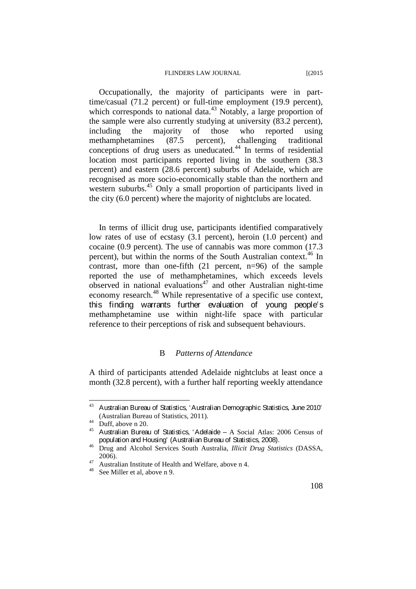Occupationally, the majority of participants were in parttime/casual (71.2 percent) or full-time employment (19.9 percent), which corresponds to national data.<sup>43</sup> Notably, a large proportion of the sample were also currently studying at university (83.2 percent), including the majority of those who reported using methamphetamines (87.5 percent), challenging traditional conceptions of drug users as uneducated. $44$  In terms of residential location most participants reported living in the southern (38.3 percent) and eastern (28.6 percent) suburbs of Adelaide, which are recognised as more socio-economically stable than the northern and western suburbs.<sup>45</sup> Only a small proportion of participants lived in the city (6.0 percent) where the majority of nightclubs are located.

In terms of illicit drug use, participants identified comparatively low rates of use of ecstasy (3.1 percent), heroin (1.0 percent) and cocaine (0.9 percent). The use of cannabis was more common (17.3 percent), but within the norms of the South Australian context.<sup>46</sup> In contrast, more than one-fifth (21 percent, n=96) of the sample reported the use of methamphetamines, which exceeds levels  $\sigma$ observed in national evaluations<sup> $47$ </sup> and other Australian night-time economy research.<sup>48</sup> While representative of a specific use context, this finding warrants further evaluation of young people's methamphetamine use within night-life space with particular reference to their perceptions of risk and subsequent behaviours.

### B *Patterns of Attendance*

A third of participants attended Adelaide nightclubs at least once a month (32.8 percent), with a further half reporting weekly attendance

<sup>43</sup> Australian Bureau of Statistics, 'Australian Demographic Statistics, June 2010'

<sup>(</sup>Australian Bureau of Statistics, 2011).<br>
<sup>44</sup> Duff, above n 20.<br>
<sup>45</sup> Australian Bureau of Statistics, 'Adelaide – A Social Atlas: 2006 Census of population and Housing' (Australian Bureau of Statistics, 2008). 46 Drug and Alcohol Services South Australia, *Illicit Drug Statistics* (DASSA,

<sup>2006).&</sup>lt;br>
<sup>47</sup> Australian Institute of Health and Welfare, above n 4.<br>
<sup>48</sup> See Miller et al, above n 9.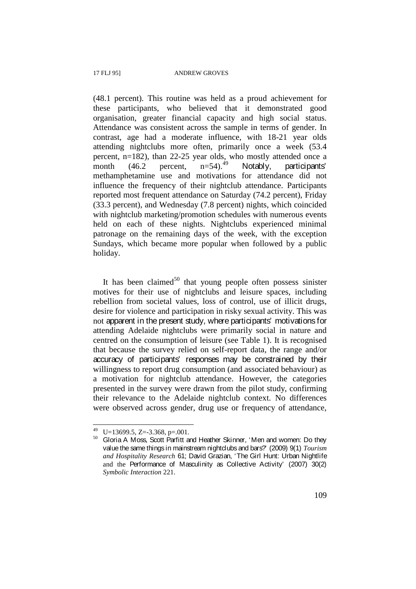(48.1 percent). This routine was held as a proud achievement for these participants, who believed that it demonstrated good organisation, greater financial capacity and high social status. Attendance was consistent across the sample in terms of gender. In contrast, age had a moderate influence, with 18-21 year olds attending nightclubs more often, primarily once a week (53.4 percent, n=182), than 22-25 year olds, who mostly attended once a month  $(46.2 \quad \text{percent}, \quad n=54)$ <sup>49</sup> Notably, participants' methamphetamine use and motivations for attendance did not influence the frequency of their nightclub attendance. Participants reported most frequent attendance on Saturday (74.2 percent), Friday (33.3 percent), and Wednesday (7.8 percent) nights, which coincided with nightclub marketing/promotion schedules with numerous events held on each of these nights. Nightclubs experienced minimal patronage on the remaining days of the week, with the exception Sundays, which became more popular when followed by a public holiday.

It has been claimed<sup>50</sup> that young people often possess sinister motives for their use of nightclubs and leisure spaces, including rebellion from societal values, loss of control, use of illicit drugs, desire for violence and participation in risky sexual activity. This was not apparent in the present study, where participants' motivations for attending Adelaide nightclubs were primarily social in nature and centred on the consumption of leisure (see Table 1). It is recognised that because the survey relied on self-report data, the range and/or accuracy of participants' responses may be constrained by their willingness to report drug consumption (and associated behaviour) as a motivation for nightclub attendance. However, the categories presented in the survey were drawn from the pilot study, confirming their relevance to the Adelaide nightclub context. No differences were observed across gender, drug use or frequency of attendance,

<sup>&</sup>lt;sup>49</sup> U=13699.5, Z=-3.368, p=.001.

<sup>&</sup>lt;sup>50</sup> Gloria A Moss, Scott Parfitt and Heather Skinner, 'Men and women: Do they value the same things in mainstream nightclubs and bars?' (2009) 9(1) *Tourism and Hospitality Research* 61; David Grazian, 'The Girl Hunt: Urban Nightlife and the Performance of Masculinity as Collective Activity' (2007) 30(2) *Symbolic Interaction* 221.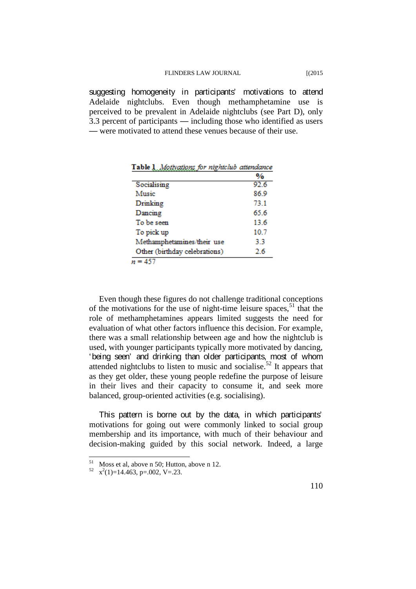suggesting homogeneity in participants' motivations to attend Adelaide nightclubs. Even though methamphetamine use is perceived to be prevalent in Adelaide nightclubs (see Part D), only 3.3 percent of participants — including those who identified as users — were motivated to attend these venues because of their use.

| таолед<br>мончать ю петато автате |      |
|-----------------------------------|------|
|                                   | %    |
| Socialising                       | 92.6 |
| Music                             | 86.9 |
| Drinking                          | 73.1 |
| Dancing                           | 65.6 |
| To be seen                        | 13.6 |
| To pick up                        | 10.7 |
| Methamphetamines/their use        | 3.3  |
| Other (birthday celebrations)     | 26   |
| $n = 457$                         |      |

Table 1 Mathematican for windstable attendance

Even though these figures do not challenge traditional conceptions of the motivations for the use of night-time leisure spaces,  $51$  that the role of methamphetamines appears limited suggests the need for evaluation of what other factors influence this decision. For example, there was a small relationship between age and how the nightclub is used, with younger participants typically more motivated by dancing, 'being seen' and drinking than older participants, most of whom attended nightclubs to listen to music and socialise.<sup>52</sup> It appears that as they get older, these young people redefine the purpose of leisure in their lives and their capacity to consume it, and seek more balanced, group-oriented activities (e.g. socialising).

This pattern is borne out by the data, in which participants' motivations for going out were commonly linked to social group membership and its importance, with much of their behaviour and decision-making guided by this social network. Indeed, a large

<sup>&</sup>lt;sup>51</sup> Moss et al, above n 50; Hutton, above n 12.<br><sup>52</sup> x<sup>2</sup>(1)=14.463, p=.002, V=.23.

 $x^2(1)=14.463$ , p=.002, V=.23.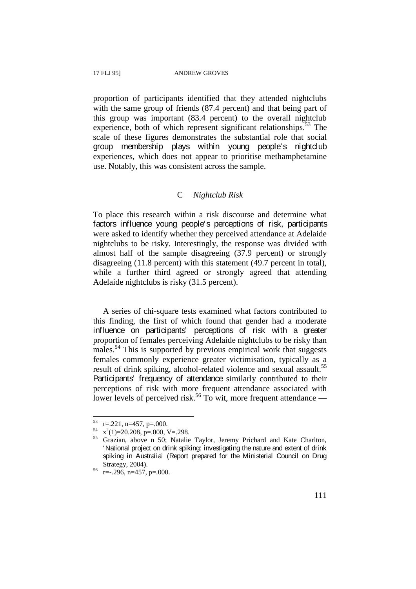proportion of participants identified that they attended nightclubs with the same group of friends (87.4 percent) and that being part of this group was important (83.4 percent) to the overall nightclub experience, both of which represent significant relationships.<sup>53</sup> The scale of these figures demonstrates the substantial role that social group membership plays within young people's nightclub experiences, which does not appear to prioritise methamphetamine use. Notably, this was consistent across the sample.

### C *Nightclub Risk*

To place this research within a risk discourse and determine what factors influence young people's perceptions of risk, participants were asked to identify whether they perceived attendance at Adelaide nightclubs to be risky. Interestingly, the response was divided with almost half of the sample disagreeing (37.9 percent) or strongly disagreeing (11.8 percent) with this statement (49.7 percent in total), while a further third agreed or strongly agreed that attending Adelaide nightclubs is risky (31.5 percent).

A series of chi-square tests examined what factors contributed to this finding, the first of which found that gender had a moderate influence on participants' perceptions of risk with a greater proportion of females perceiving Adelaide nightclubs to be risky than males.<sup>54</sup> This is supported by previous empirical work that suggests females commonly experience greater victimisation, typically as a result of drink spiking, alcohol-related violence and sexual assault.<sup>55</sup> Participants' frequency of attendance similarly contributed to their perceptions of risk with more frequent attendance associated with lower levels of perceived risk.<sup>56</sup> To wit, more frequent attendance  $-$ 

 $r = 0.221$ , n=457, p=.000.

 $x^2(1)=20.208$ , p=.000, V=.298.

<sup>&</sup>lt;sup>55</sup> Grazian, above n 50; Natalie Taylor, Jeremy Prichard and Kate Charlton, 'National project on drink spiking: investigating the nature and extent of drink spiking in Australia' (Report prepared for the Ministerial Council on Drug Strategy, 2004).<br> $r=-.296$ , n=457, p=.000.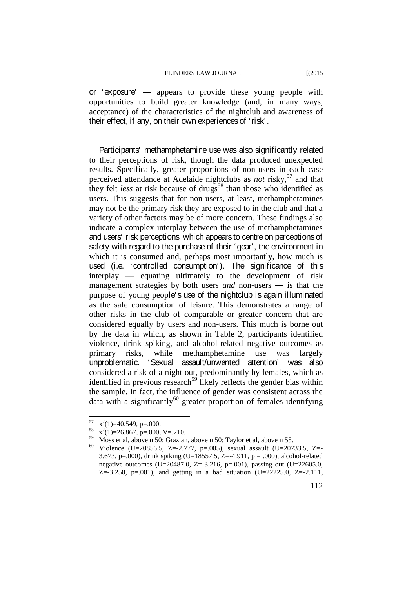or 'exposure' — appears to provide these young people with opportunities to build greater knowledge (and, in many ways, acceptance) of the characteristics of the nightclub and awareness of their effect, if any, on their own experiences of 'risk'.

Participants' methamphetamine use was also significantly related to their perceptions of risk, though the data produced unexpected results. Specifically, greater proportions of non-users in each case perceived attendance at Adelaide nightclubs as *not* risky,<sup>57</sup> and that they felt *less* at risk because of drugs<sup>58</sup> than those who identified as users. This suggests that for non-users, at least, methamphetamines may not be the primary risk they are exposed to in the club and that a variety of other factors may be of more concern. These findings also indicate a complex interplay between the use of methamphetamines and users' risk perceptions, which appears to centre on perceptions of safety with regard to the purchase of their 'gear', the environment in which it is consumed and, perhaps most importantly, how much is used (i.e. 'controlled consumption'). The significance of this interplay — equating ultimately to the development of risk management strategies by both users *and* non-users — is that the purpose of young people's use of the nightclub is again illuminated as the safe consumption of leisure. This demonstrates a range of other risks in the club of comparable or greater concern that are considered equally by users and non-users. This much is borne out by the data in which, as shown in Table 2, participants identified violence, drink spiking, and alcohol-related negative outcomes as primary risks, while methamphetamine use was largely unproblematic. 'Sexual assault/unwanted attention' was also considered a risk of a night out, predominantly by females, which as identified in previous research<sup>59</sup> likely reflects the gender bias within the sample. In fact, the influence of gender was consistent across the data with a significantly<sup>60</sup> greater proportion of females identifying

 $\frac{57}{58}$  x<sup>2</sup>(1)=40.549, p=.000.

 $x^2(1)=40.549, p=.000.$ <br>  $x^2(1)=26.867, p=.000, V=.210.$ 

<sup>&</sup>lt;sup>59</sup> Moss et al, above n 50; Grazian, above n 50; Taylor et al, above n 55.<br><sup>60</sup> Violence (U=20856.5, Z=-2.777, p=.005), sexual assault (U=20733.5, Z=-3.673, p=.000), drink spiking (U=18557.5, Z=-4.911, p = .000), alcohol-related negative outcomes (U=20487.0, Z=-3.216, p=.001), passing out (U=22605.0, Z=-3.250, p=.001), and getting in a bad situation (U=22225.0, Z=-2.111,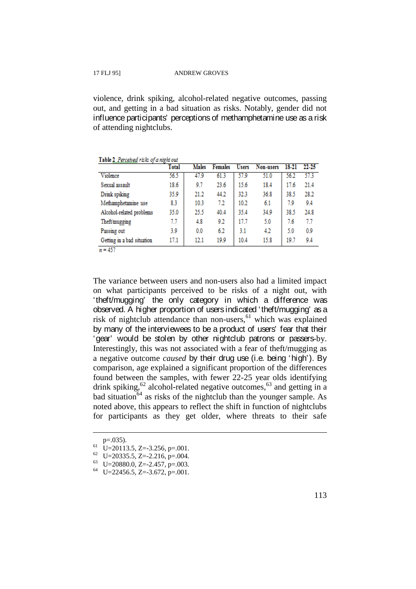violence, drink spiking, alcohol-related negative outcomes, passing out, and getting in a bad situation as risks. Notably, gender did not influence participants' perceptions of methamphetamine use as a risk of attending nightclubs.

Table 2. Perceived risks of a night out

|                            | Total | <b>Males</b> | <b>Females</b> | <b>Users</b> | Non-users | 18-21 | 22-25 |
|----------------------------|-------|--------------|----------------|--------------|-----------|-------|-------|
| Violence                   | 56.5  | 47.9         | 61.3           | 57.9         | 51.0      | 56.2  | 57.3  |
| Sexual assault             | 18.6  | 9.7          | 23.6           | 15.6         | 18.4      | 17.6  | 21.4  |
| Drink spiking              | 35.9  | 21.2         | 44.2           | 32.3         | 36.8      | 38.5  | 28.2  |
| Methamphetamine use        | 8.3   | 10.3         | 7.2            | 10.2         | 6.1       | 7.9   | 9.4   |
| Alcohol-related problems   | 35.0  | 25.5         | 40.4           | 35.4         | 34.9      | 38.5  | 24.8  |
| Theft/mugging              | 7.7   | 4.8          | 9.2            | 17.7         | 5.0       | 7.6   | 7.7   |
| Passing out                | 3.9   | 0.0          | 6.2            | 3.1          | 4.2       | 5.0   | 0.9   |
| Getting in a bad situation | 17.1  | 12.1         | 19.9           | 10.4         | 15.8      | 19.7  | 9.4   |
| <b>A 277</b>               |       |              |                |              |           |       |       |

 $n = 457$ 

The variance between users and non-users also had a limited impact on what participants perceived to be risks of a night out, with 'theft/mugging' the only category in which a difference was observed. A higher proportion of users indicated 'theft/mugging' as a risk of nightclub attendance than non-users,  $61$  which was explained by many of the interviewees to be a product of users' fear that their 'gear' would be stolen by other nightclub patrons or passers-by. Interestingly, this was not associated with a fear of theft/mugging as a negative outcome *caused* by their drug use (i.e. being 'high'). By comparison, age explained a significant proportion of the differences found between the samples, with fewer 22-25 year olds identifying drink spiking,  $62$  alcohol-related negative outcomes,  $63$  and getting in a  $b$ ad situation<sup>64</sup> as risks of the nightclub than the younger sample. As noted above, this appears to reflect the shift in function of nightclubs for participants as they get older, where threats to their safe

p=.035).<br>
61 U=20113.5, Z=-3.256, p=.001.<br>
62 U=20335.5, Z=-2.216, p=.004.<br>
63 U=20880.0, Z=-2.457, p=.003.<br>
64 U=22456.5, Z=-3.672, p=.001.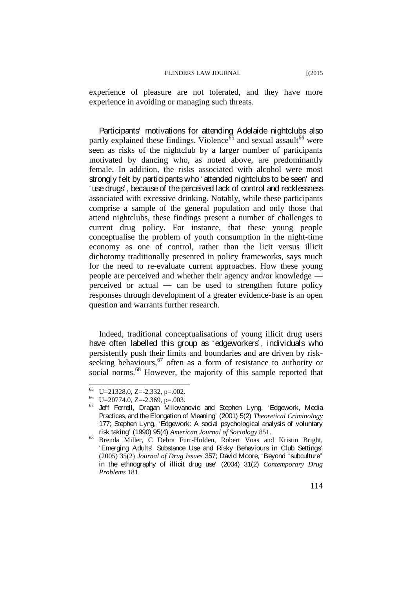experience of pleasure are not tolerated, and they have more experience in avoiding or managing such threats.

Participants' motivations for attending Adelaide nightclubs also partly explained these findings. Violence<sup> $\delta$ 5</sup> and sexual assault<sup>66</sup> were seen as risks of the nightclub by a larger number of participants motivated by dancing who, as noted above, are predominantly female. In addition, the risks associated with alcohol were most strongly felt by participants who 'attended nightclubs to be seen' and 'use drugs', because of the perceived lack of control and recklessness associated with excessive drinking. Notably, while these participants comprise a sample of the general population and only those that attend nightclubs, these findings present a number of challenges to current drug policy. For instance, that these young people conceptualise the problem of youth consumption in the night-time economy as one of control, rather than the licit versus illicit dichotomy traditionally presented in policy frameworks, says much for the need to re-evaluate current approaches. How these young people are perceived and whether their agency and/or knowledge perceived or actual — can be used to strengthen future policy responses through development of a greater evidence-base is an open question and warrants further research.

Indeed, traditional conceptualisations of young illicit drug users have often labelled this group as 'edgeworkers', individuals who persistently push their limits and boundaries and are driven by riskseeking behaviours,  $67$  often as a form of resistance to authority or social norms.<sup>68</sup> However, the majority of this sample reported that

<sup>65</sup> 

 $^{65}$  U=21328.0, Z=-2.332, p=.002.<br> $^{66}$  U=20774.0, Z=-2.369, p=.003.<br> $^{67}$  Jeff Ferrell, Dragan Milovanovic and Stephen Lyng, 'Edgework, Media Practices, and the Elongation of Meaning' (2001) 5(2) *Theoretical Criminology* 177; Stephen Lyng, 'Edgework: A social psychological analysis of voluntary

risk taking' (1990) 95(4) *American Journal of Sociology* 851.<br>Brenda Miller, C Debra Furr-Holden, Robert Voas and Kristin Bright, 'Emerging Adults' Substance Use and Risky Behaviours in Club Settings' (2005) 35(2) *Journal of Drug Issues* 357; David Moore, 'Beyond "subculture" in the ethnography of illicit drug use' (2004) 31(2) *Contemporary Drug Problems* 181.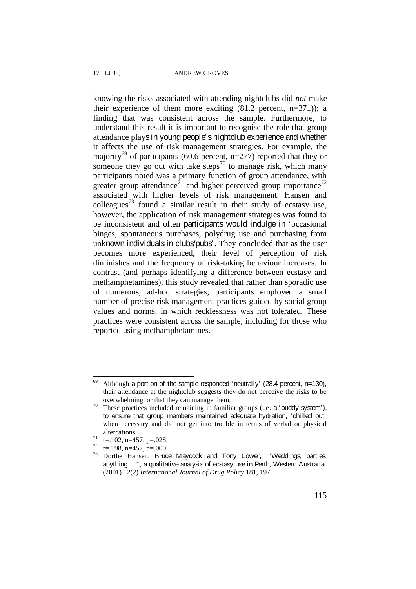knowing the risks associated with attending nightclubs did *not* make their experience of them more exciting  $(81.2 \text{ percent}, n=371)$ ; a finding that was consistent across the sample. Furthermore, to understand this result it is important to recognise the role that group attendance plays in young people's nightclub experience and whether it affects the use of risk management strategies. For example, the majority<sup>69</sup> of participants (60.6 percent,  $n=277$ ) reported that they or someone they go out with take steps<sup>70</sup> to manage risk, which many participants noted was a primary function of group attendance, with greater group attendance<sup>71</sup> and higher perceived group importance<sup>72</sup> associated with higher levels of risk management. Hansen and colleagues<sup>73</sup> found a similar result in their study of ecstasy use, however, the application of risk management strategies was found to be inconsistent and often participants would indulge in 'occasional binges, spontaneous purchases, polydrug use and purchasing from unknown individuals in clubs/pubs'. They concluded that as the user becomes more experienced, their level of perception of risk diminishes and the frequency of risk-taking behaviour increases. In contrast (and perhaps identifying a difference between ecstasy and methamphetamines), this study revealed that rather than sporadic use of numerous, ad-hoc strategies, participants employed a small number of precise risk management practices guided by social group values and norms, in which recklessness was not tolerated. These practices were consistent across the sample, including for those who reported using methamphetamines.

<sup>69</sup> Although a portion of the sample responded 'neutrally' (28.4 percent, n=130), their attendance at the nightclub suggests they do not perceive the risks to be

overwhelming, or that they can manage them.<br>
<sup>70</sup> These practices included remaining in familiar groups (i.e. a 'buddy system'), to ensure that group members maintained adequate hydration, 'chilled out' when necessary and did not get into trouble in terms of verbal or physical

altercations.<br>  $\begin{array}{ll}\n\text{at} & \text{r} = .102, \text{ n} = 457, \text{ p} = .028. \\
\text{r} = .198, \text{ n} = 457, \text{ p} = .000. \\
\text{73} & \text{Dorthe Hansen}, \text{ Bruce Maycock and Tony Lower}, \text{ "Weddings, parties,}\n\end{array}$ anything …", a qualitative analysis of ecstasy use in Perth, Western Australia' (2001) 12(2) *International Journal of Drug Policy* 181, 197.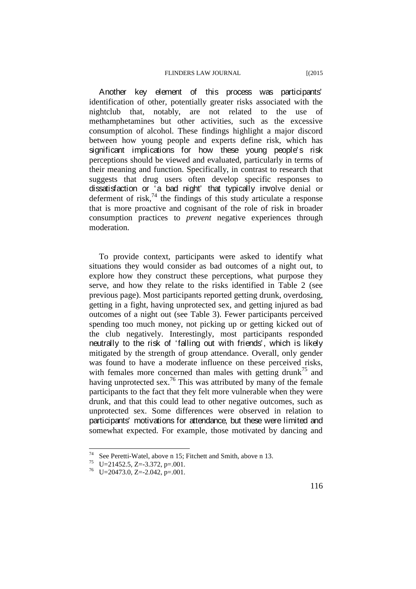Another key element of this process was participants' identification of other, potentially greater risks associated with the nightclub that, notably, are not related to the use of methamphetamines but other activities, such as the excessive consumption of alcohol. These findings highlight a major discord between how young people and experts define risk, which has significant implications for how these young people's risk perceptions should be viewed and evaluated, particularly in terms of their meaning and function. Specifically, in contrast to research that suggests that drug users often develop specific responses to dissatisfaction or 'a bad night' that typically involve denial or deferment of risk, $<sup>74</sup>$  the findings of this study articulate a response</sup> that is more proactive and cognisant of the role of risk in broader consumption practices to *prevent* negative experiences through moderation.

To provide context, participants were asked to identify what situations they would consider as bad outcomes of a night out, to explore how they construct these perceptions, what purpose they serve, and how they relate to the risks identified in Table 2 (see previous page). Most participants reported getting drunk, overdosing, getting in a fight, having unprotected sex, and getting injured as bad outcomes of a night out (see Table 3). Fewer participants perceived spending too much money, not picking up or getting kicked out of the club negatively. Interestingly, most participants responded neutrally to the risk of 'falling out with friends', which is likely mitigated by the strength of group attendance. Overall, only gender was found to have a moderate influence on these perceived risks, with females more concerned than males with getting drunk<sup>75</sup> and having unprotected sex.<sup>76</sup> This was attributed by many of the female participants to the fact that they felt more vulnerable when they were drunk, and that this could lead to other negative outcomes, such as unprotected sex. Some differences were observed in relation to participants' motivations for attendance, but these were limited and somewhat expected. For example, those motivated by dancing and

<sup>74</sup> <sup>74</sup> See Peretti-Watel, above n 15; Fitchett and Smith, above n 13.<br><sup>75</sup> U=21452.5, Z=-3.372, p=.001.<br><sup>76</sup> U=20473.0, Z=-2.042, p=.001.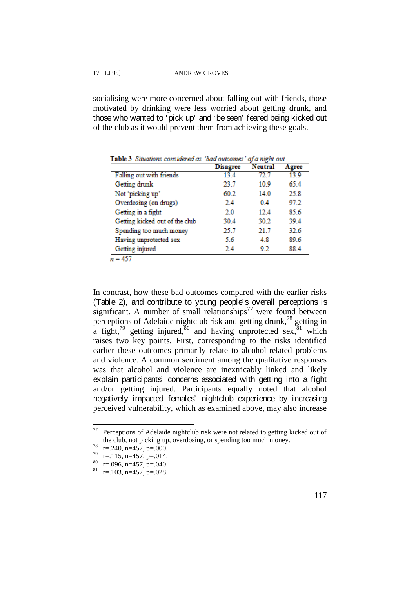socialising were more concerned about falling out with friends, those motivated by drinking were less worried about getting drunk, and those who wanted to 'pick up' and 'be seen' feared being kicked out of the club as it would prevent them from achieving these goals.

| avit o chaanvis common on as van vancomes |                 | vju najme via |       |
|-------------------------------------------|-----------------|---------------|-------|
|                                           | <b>Disagree</b> | Neutral       | Agree |
| Falling out with friends                  | 13.4            | 72. 7         | 139   |
| Getting drunk                             | 23.7            | 10.9          | 65.4  |
| Not 'picking up'                          | 60.2            | 14.0          | 25.8  |
| Overdosing (on drugs)                     | 2.4             | 04            | 97.2  |
| Getting in a fight                        | 2.0             | 12.4          | 85.6  |
| Getting kicked out of the club            | 30.4            | 30.2          | 39.4  |
| Spending too much money                   | 25.7            | 21.7          | 32.6  |
| Having unprotected sex                    | 5.6             | 4.8           | 89.6  |
| Getting injured                           | 2.4             | 92            | 88.4  |
| ---                                       |                 |               |       |

Table 3. Situations considered as 'had outcomes' of a night out

 $n = 457$ 

In contrast, how these bad outcomes compared with the earlier risks (Table 2), and contribute to young people's overall perceptions is significant. A number of small relationships<sup>77</sup> were found between perceptions of Adelaide nightclub risk and getting drunk,78 getting in a fight,<sup>79</sup> getting injured,  $80$  and having unprotected sex,  $81$  which raises two key points. First, corresponding to the risks identified earlier these outcomes primarily relate to alcohol-related problems and violence. A common sentiment among the qualitative responses was that alcohol and violence are inextricably linked and likely explain participants' concerns associated with getting into a fight and/or getting injured. Participants equally noted that alcohol negatively impacted females' nightclub experience by increasing perceived vulnerability, which as examined above, may also increase

 $77$  Perceptions of Adelaide nightclub risk were not related to getting kicked out of the club, not picking up, overdosing, or spending too much money.<br>  $r=.240$ , n=457, p=.000.<br>  $r=.115$ , n=457, p=.014.<br>  $\text{so}$  r=.096, n=457, p=.040.<br>  $\text{so}$  r=.103, n=457, p=.028.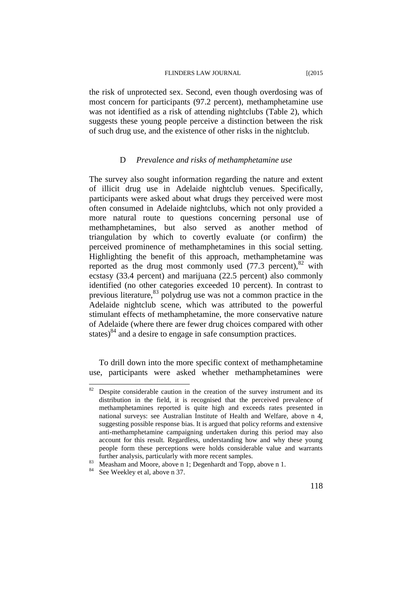the risk of unprotected sex. Second, even though overdosing was of most concern for participants (97.2 percent), methamphetamine use was not identified as a risk of attending nightclubs (Table 2), which suggests these young people perceive a distinction between the risk of such drug use, and the existence of other risks in the nightclub.

### D *Prevalence and risks of methamphetamine use*

The survey also sought information regarding the nature and extent of illicit drug use in Adelaide nightclub venues. Specifically, participants were asked about what drugs they perceived were most often consumed in Adelaide nightclubs, which not only provided a more natural route to questions concerning personal use of methamphetamines, but also served as another method of triangulation by which to covertly evaluate (or confirm) the perceived prominence of methamphetamines in this social setting. Highlighting the benefit of this approach, methamphetamine was reported as the drug most commonly used  $(77.3 \text{ percent})$ ,  $82 \text{ with}$ ecstasy (33.4 percent) and marijuana (22.5 percent) also commonly identified (no other categories exceeded 10 percent). In contrast to previous literature, 83 polydrug use was not a common practice in the Adelaide nightclub scene, which was attributed to the powerful stimulant effects of methamphetamine, the more conservative nature of Adelaide (where there are fewer drug choices compared with other states)<sup>84</sup> and a desire to engage in safe consumption practices.

To drill down into the more specific context of methamphetamine use, participants were asked whether methamphetamines were

Despite considerable caution in the creation of the survey instrument and its distribution in the field, it is recognised that the perceived prevalence of methamphetamines reported is quite high and exceeds rates presented in national surveys: see Australian Institute of Health and Welfare, above n 4, suggesting possible response bias. It is argued that policy reforms and extensive anti-methamphetamine campaigning undertaken during this period may also account for this result. Regardless, understanding how and why these young people form these perceptions were holds considerable value and warrants further analysis, particularly with more recent samples.<br><sup>83</sup> Measham and Moore, above n 1; Degenhardt and Topp, above n 1.<br><sup>84</sup> See Weekley et al, above n 37.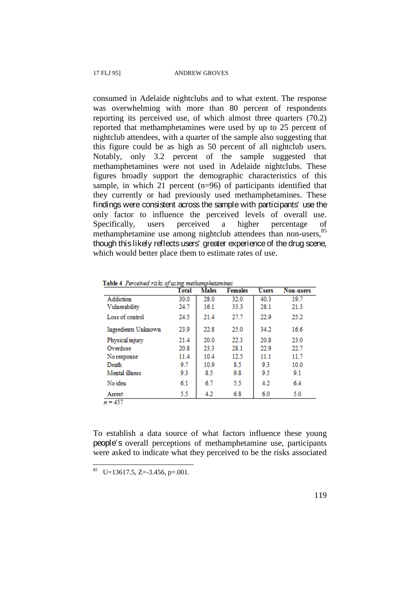consumed in Adelaide nightclubs and to what extent. The response was overwhelming with more than 80 percent of respondents reporting its perceived use, of which almost three quarters (70.2) reported that methamphetamines were used by up to 25 percent of nightclub attendees, with a quarter of the sample also suggesting that this figure could be as high as 50 percent of all nightclub users. Notably, only 3.2 percent of the sample suggested that methamphetamines were not used in Adelaide nightclubs. These figures broadly support the demographic characteristics of this sample, in which 21 percent (n=96) of participants identified that they currently or had previously used methamphetamines. These findings were consistent across the sample with participants' use the only factor to influence the perceived levels of overall use. Specifically, users perceived a higher percentage of methamphetamine use among nightclub attendees than non-users, <sup>85</sup> though this likely reflects users' greater experience of the drug scene, which would better place them to estimate rates of use.

|                            | <b>Total</b> | <b>Males</b> | <b>Females</b> | <b>Users</b> | Non-users |
|----------------------------|--------------|--------------|----------------|--------------|-----------|
| Addiction                  | 30.0         | 28.0         | 32.0           | 40.3         | 19.7      |
| Vulnerability              | 24.7         | 16.1         | 33.3           | 28.1         | 21.3      |
| Loss of control            | 24.5         | 21.4         | 27.7           | 22.9         | 25.2      |
| <b>Ingredients Unknown</b> | 23.9         | 22.8         | 25.0           | 34.2         | 16.6      |
| Physical injury            | 21.4         | 20.0         | 22.3           | 20.8         | 23.0      |
| Overdose                   | 20.8         | 23.3         | 28.1           | 22.9         | 22.7      |
| No response                | 11.4         | 104          | 12.5           | 11.1         | 11.7      |
| Death                      | 9.7          | 10.9         | 8.5            | 9.3          | 10.0      |
| Mental illness             | 9.3          | 8.5          | 9.8            | 9.5          | 9.1       |
| No idea                    | 6.1          | 6.7          | 5.5            | 4.2          | 6.4       |
| Arrest                     | 5.5          | 4.2          | 6.8            | 6.0          | 5.0       |

Table 4 Perceived risks of using methamphetamines

To establish a data source of what factors influence these young people's overall perceptions of methamphetamine use, participants were asked to indicate what they perceived to be the risks associated

 $85 \text{ U}=13617.5, Z=-3.456, p=.001.$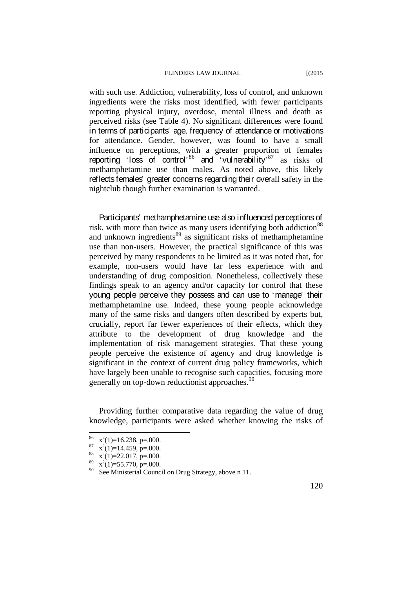with such use. Addiction, vulnerability, loss of control, and unknown ingredients were the risks most identified, with fewer participants reporting physical injury, overdose, mental illness and death as perceived risks (see Table 4). No significant differences were found in terms of participants' age, frequency of attendance or motivations for attendance. Gender, however, was found to have a small influence on perceptions, with a greater proportion of females reporting 'loss of control'<sup>86</sup> and 'vulnerability'<sup>87</sup> as risks of methamphetamine use than males. As noted above, this likely reflects females' greater concerns regarding their overall safety in the nightclub though further examination is warranted.

Participants' methamphetamine use also influenced perceptions of risk, with more than twice as many users identifying both addiction<sup>88</sup> and unknown ingredients<sup>89</sup> as significant risks of methamphetamine use than non-users. However, the practical significance of this was perceived by many respondents to be limited as it was noted that, for example, non-users would have far less experience with and understanding of drug composition. Nonetheless, collectively these findings speak to an agency and/or capacity for control that these young people perceive they possess and can use to 'manage' their methamphetamine use. Indeed, these young people acknowledge many of the same risks and dangers often described by experts but, crucially, report far fewer experiences of their effects, which they attribute to the development of drug knowledge and the implementation of risk management strategies. That these young people perceive the existence of agency and drug knowledge is significant in the context of current drug policy frameworks, which have largely been unable to recognise such capacities, focusing more generally on top-down reductionist approaches.<sup>90</sup>

Providing further comparative data regarding the value of drug knowledge, participants were asked whether knowing the risks of

<sup>86</sup>  $x^2(1)=16.238$ , p=.000.

 $x^2(1)=14.459, p=.000.$  $x^2(1)=14.459, p=.000.$ <br>  $x^2(1)=22.017, p=.000.$ 

 $x^2(1)=55.770$ , p=.000.

<sup>&</sup>lt;sup>90</sup> See Ministerial Council on Drug Strategy, above n 11.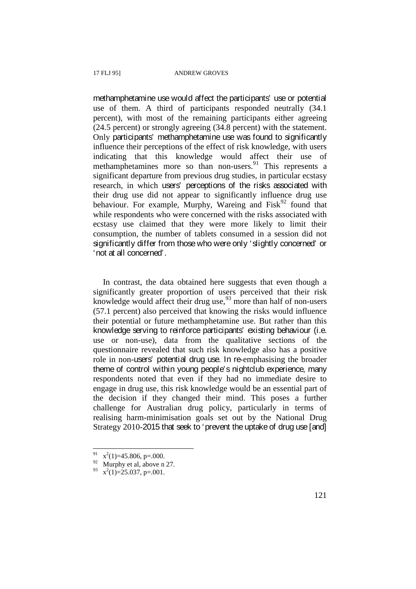methamphetamine use would affect the participants' use or potential use of them. A third of participants responded neutrally (34.1 percent), with most of the remaining participants either agreeing (24.5 percent) or strongly agreeing (34.8 percent) with the statement. Only participants' methamphetamine use was found to significantly influence their perceptions of the effect of risk knowledge, with users indicating that this knowledge would affect their use of methamphetamines more so than non-users. $91$  This represents a significant departure from previous drug studies, in particular ecstasy research, in which users' perceptions of the risks associated with their drug use did not appear to significantly influence drug use behaviour. For example, Murphy, Wareing and  $Fisk<sup>92</sup>$  found that while respondents who were concerned with the risks associated with ecstasy use claimed that they were more likely to limit their consumption, the number of tablets consumed in a session did not significantly differ from those who were only 'slightly concerned' or 'not at all concerned'.

In contrast, the data obtained here suggests that even though a significantly greater proportion of users perceived that their risk knowledge would affect their drug use,<sup>93</sup> more than half of non-users (57.1 percent) also perceived that knowing the risks would influence their potential or future methamphetamine use. But rather than this knowledge serving to reinforce participants' existing behaviour (i.e. use or non-use), data from the qualitative sections of the questionnaire revealed that such risk knowledge also has a positive role in non-users' potential drug use. In re-emphasising the broader theme of control within young people's nightclub experience, many respondents noted that even if they had no immediate desire to engage in drug use, this risk knowledge would be an essential part of the decision if they changed their mind. This poses a further challenge for Australian drug policy, particularly in terms of realising harm-minimisation goals set out by the National Drug Strategy 2010-2015 that seek to 'prevent the uptake of drug use [and]

 $x^2(1)=45.806$ , p=.000.

 $92$  Murphy et al, above n 27.

 $x^2(1)=25.037$ , p=.001.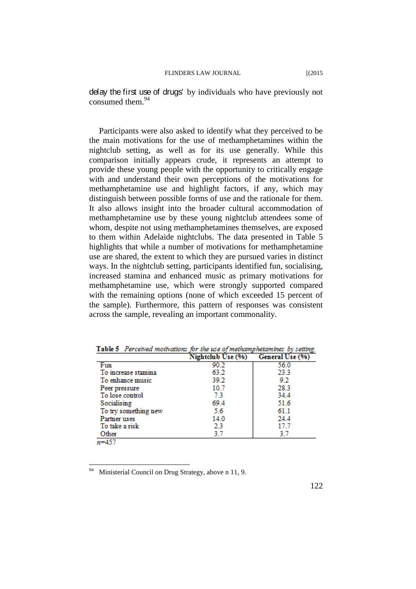delay the first use of drugs' by individuals who have previously not consumed them.<sup>94</sup>

Participants were also asked to identify what they perceived to be the main motivations for the use of methamphetamines within the nightclub setting, as well as for its use generally. While this comparison initially appears crude, it represents an attempt to provide these young people with the opportunity to critically engage with and understand their own perceptions of the motivations for methamphetamine use and highlight factors, if any, which may distinguish between possible forms of use and the rationale for them. It also allows insight into the broader cultural accommodation of methamphetamine use by these young nightclub attendees some of whom, despite not using methamphetamines themselves, are exposed to them within Adelaide nightclubs. The data presented in Table 5 highlights that while a number of motivations for methamphetamine use are shared, the extent to which they are pursued varies in distinct ways. In the nightclub setting, participants identified fun, socialising, increased stamina and enhanced music as primary motivations for methamphetamine use, which were strongly supported compared with the remaining options (none of which exceeded 15 percent of the sample). Furthermore, this pattern of responses was consistent across the sample, revealing an important commonality.

|                      | Nightclub Use (%) | General Use (%) |
|----------------------|-------------------|-----------------|
| Fun                  | 90.2              | 56.0            |
| To increase stamina  | 63.2              | 23.3            |
| To enhance music     | 39.2              | 92              |
| Peer pressure        | 10.7              | 28.3            |
| To lose control      | 7.3               | 34.4            |
| Socialising          | 69.4              | 51.6            |
| To try something new | 5.6               | 61.1            |
| Partner uses         | 14.0              | 24.4            |
| To take a risk       | 2.3               | 17.7            |
| Other                | 37                | 37              |
| ท=457                |                   |                 |

Table 5 Perceived motivations for the use of methamphetamines by setting.

Ministerial Council on Drug Strategy, above n 11, 9.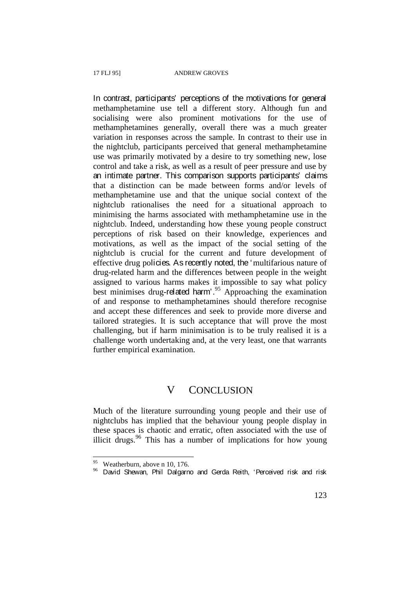In contrast, participants' perceptions of the motivations for general methamphetamine use tell a different story. Although fun and socialising were also prominent motivations for the use of methamphetamines generally, overall there was a much greater variation in responses across the sample. In contrast to their use in the nightclub, participants perceived that general methamphetamine use was primarily motivated by a desire to try something new, lose control and take a risk, as well as a result of peer pressure and use by an intimate partner. This comparison supports participants' claims that a distinction can be made between forms and/or levels of methamphetamine use and that the unique social context of the nightclub rationalises the need for a situational approach to minimising the harms associated with methamphetamine use in the nightclub. Indeed, understanding how these young people construct perceptions of risk based on their knowledge, experiences and motivations, as well as the impact of the social setting of the nightclub is crucial for the current and future development of effective drug policies. As recently noted, the 'multifarious nature of drug-related harm and the differences between people in the weight assigned to various harms makes it impossible to say what policy best minimises drug-related harm'.<sup>95</sup> Approaching the examination of and response to methamphetamines should therefore recognise and accept these differences and seek to provide more diverse and tailored strategies. It is such acceptance that will prove the most challenging, but if harm minimisation is to be truly realised it is a challenge worth undertaking and, at the very least, one that warrants further empirical examination.

### V CONCLUSION

Much of the literature surrounding young people and their use of nightclubs has implied that the behaviour young people display in these spaces is chaotic and erratic, often associated with the use of illicit drugs.<sup>96</sup> This has a number of implications for how young

<sup>&</sup>lt;sup>95</sup> Weatherburn, above n 10, 176.

<sup>&</sup>lt;sup>96</sup> David Shewan, Phil Dalgarno and Gerda Reith, 'Perceived risk and risk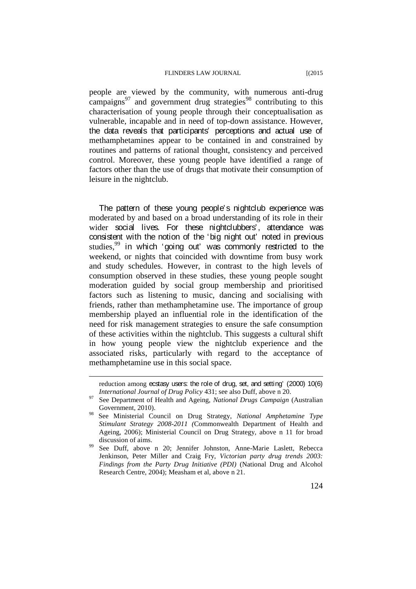people are viewed by the community, with numerous anti-drug campaigns $^{97}$  and government drug strategies<sup>98</sup> contributing to this characterisation of young people through their conceptualisation as vulnerable, incapable and in need of top-down assistance. However, the data reveals that participants' perceptions and actual use of methamphetamines appear to be contained in and constrained by routines and patterns of rational thought, consistency and perceived control. Moreover, these young people have identified a range of factors other than the use of drugs that motivate their consumption of leisure in the nightclub.

The pattern of these young people's nightclub experience was moderated by and based on a broad understanding of its role in their wider social lives. For these nightclubbers<sup>'</sup>, attendance was consistent with the notion of the 'big night out' noted in previous studies,<sup>99</sup> in which 'going out' was commonly restricted to the weekend, or nights that coincided with downtime from busy work and study schedules. However, in contrast to the high levels of consumption observed in these studies, these young people sought moderation guided by social group membership and prioritised factors such as listening to music, dancing and socialising with friends, rather than methamphetamine use. The importance of group membership played an influential role in the identification of the need for risk management strategies to ensure the safe consumption of these activities within the nightclub. This suggests a cultural shift in how young people view the nightclub experience and the associated risks, particularly with regard to the acceptance of methamphetamine use in this social space.

reduction among ecstasy users: the role of drug, set, and setting' (2000) 10(6)

*International Journal of Drug Policy* 431; see also Duff, above n 20.<br><sup>97</sup> See Department of Health and Ageing, *National Drugs Campaign* (Australian Government, 2010).<br>See Ministerial Council on Drug Strategy, *National Amphetamine Type* 

*Stimulant Strategy 2008-2011 (*Commonwealth Department of Health and Ageing, 2006); Ministerial Council on Drug Strategy, above n 11 for broad discussion of aims.<br>See Duff, above n 20; Jennifer Johnston, Anne-Marie Laslett, Rebecca

Jenkinson, Peter Miller and Craig Fry, *Victorian party drug trends 2003: Findings from the Party Drug Initiative (PDI)* (National Drug and Alcohol Research Centre, 2004); Measham et al, above n 21.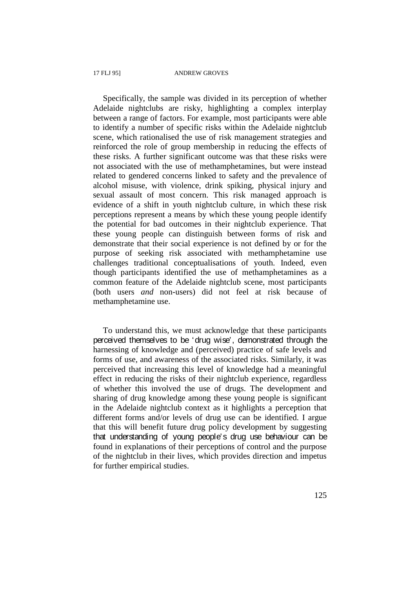Specifically, the sample was divided in its perception of whether Adelaide nightclubs are risky, highlighting a complex interplay between a range of factors. For example, most participants were able to identify a number of specific risks within the Adelaide nightclub scene, which rationalised the use of risk management strategies and reinforced the role of group membership in reducing the effects of these risks. A further significant outcome was that these risks were not associated with the use of methamphetamines, but were instead related to gendered concerns linked to safety and the prevalence of alcohol misuse, with violence, drink spiking, physical injury and sexual assault of most concern. This risk managed approach is evidence of a shift in youth nightclub culture, in which these risk perceptions represent a means by which these young people identify the potential for bad outcomes in their nightclub experience. That these young people can distinguish between forms of risk and demonstrate that their social experience is not defined by or for the purpose of seeking risk associated with methamphetamine use challenges traditional conceptualisations of youth. Indeed, even though participants identified the use of methamphetamines as a common feature of the Adelaide nightclub scene, most participants (both users *and* non-users) did not feel at risk because of methamphetamine use.

To understand this, we must acknowledge that these participants perceived themselves to be 'drug wise', demonstrated through the harnessing of knowledge and (perceived) practice of safe levels and forms of use, and awareness of the associated risks. Similarly, it was perceived that increasing this level of knowledge had a meaningful effect in reducing the risks of their nightclub experience, regardless of whether this involved the use of drugs. The development and sharing of drug knowledge among these young people is significant in the Adelaide nightclub context as it highlights a perception that different forms and/or levels of drug use can be identified. I argue that this will benefit future drug policy development by suggesting that understanding of young people's drug use behaviour can be found in explanations of their perceptions of control and the purpose of the nightclub in their lives, which provides direction and impetus for further empirical studies.